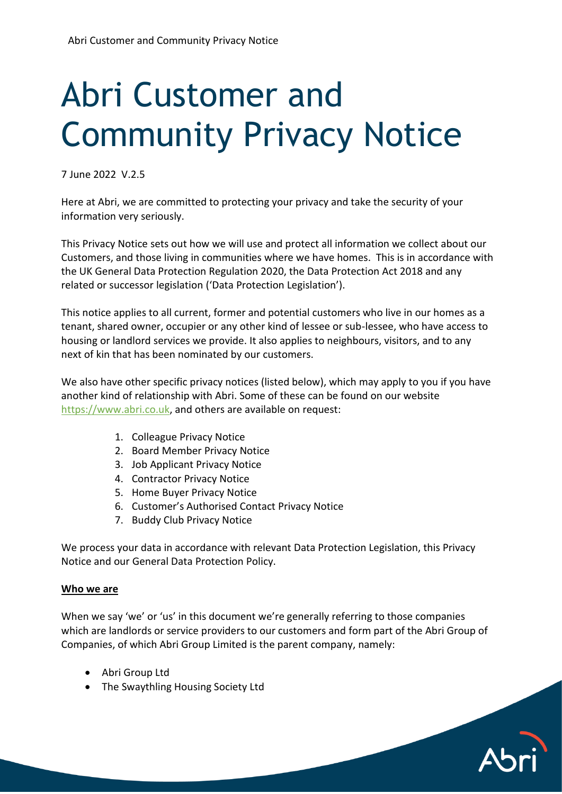# Abri Customer and Community Privacy Notice

7 June 2022 V.2.5

Here at Abri, we are committed to protecting your privacy and take the security of your information very seriously.

This Privacy Notice sets out how we will use and protect all information we collect about our Customers, and those living in communities where we have homes. This is in accordance with the UK General Data Protection Regulation 2020, the Data Protection Act 2018 and any related or successor legislation ('Data Protection Legislation').

This notice applies to all current, former and potential customers who live in our homes as a tenant, shared owner, occupier or any other kind of lessee or sub-lessee, who have access to housing or landlord services we provide. It also applies to neighbours, visitors, and to any next of kin that has been nominated by our customers.

We also have other specific privacy notices (listed below), which may apply to you if you have another kind of relationship with Abri. Some of these can be found on our website [https://www.abri.co.uk,](https://www.abri.co.uk/) and others are available on request:

- 1. Colleague Privacy Notice
- 2. Board Member Privacy Notice
- 3. Job Applicant Privacy Notice
- 4. Contractor Privacy Notice
- 5. Home Buyer Privacy Notice
- 6. Customer's Authorised Contact Privacy Notice
- 7. Buddy Club Privacy Notice

We process your data in accordance with relevant Data Protection Legislation, this Privacy Notice and our General Data Protection Policy.

#### **Who we are**

When we say 'we' or 'us' in this document we're generally referring to those companies which are landlords or service providers to our customers and form part of the Abri Group of Companies, of which Abri Group Limited is the parent company, namely:

- Abri Group Ltd
- The Swaythling Housing Society Ltd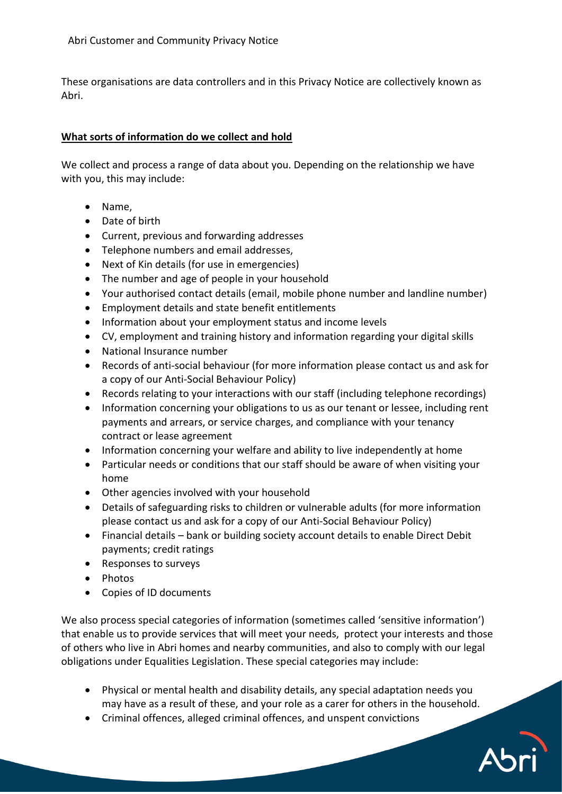These organisations are data controllers and in this Privacy Notice are collectively known as Abri.

#### **What sorts of information do we collect and hold**

We collect and process a range of data about you. Depending on the relationship we have with you, this may include:

- Name,
- Date of birth
- Current, previous and forwarding addresses
- Telephone numbers and email addresses,
- Next of Kin details (for use in emergencies)
- The number and age of people in your household
- Your authorised contact details (email, mobile phone number and landline number)
- Employment details and state benefit entitlements
- Information about your employment status and income levels
- CV, employment and training history and information regarding your digital skills
- National Insurance number
- Records of anti-social behaviour (for more information please contact us and ask for a copy of our Anti-Social Behaviour Policy)
- Records relating to your interactions with our staff (including telephone recordings)
- Information concerning your obligations to us as our tenant or lessee, including rent payments and arrears, or service charges, and compliance with your tenancy contract or lease agreement
- Information concerning your welfare and ability to live independently at home
- Particular needs or conditions that our staff should be aware of when visiting your home
- Other agencies involved with your household
- Details of safeguarding risks to children or vulnerable adults (for more information please contact us and ask for a copy of our Anti-Social Behaviour Policy)
- Financial details bank or building society account details to enable Direct Debit payments; credit ratings
- Responses to surveys
- Photos
- Copies of ID documents

We also process special categories of information (sometimes called 'sensitive information') that enable us to provide services that will meet your needs, protect your interests and those of others who live in Abri homes and nearby communities, and also to comply with our legal obligations under Equalities Legislation. These special categories may include:

- Physical or mental health and disability details, any special adaptation needs you may have as a result of these, and your role as a carer for others in the household.
- Criminal offences, alleged criminal offences, and unspent convictions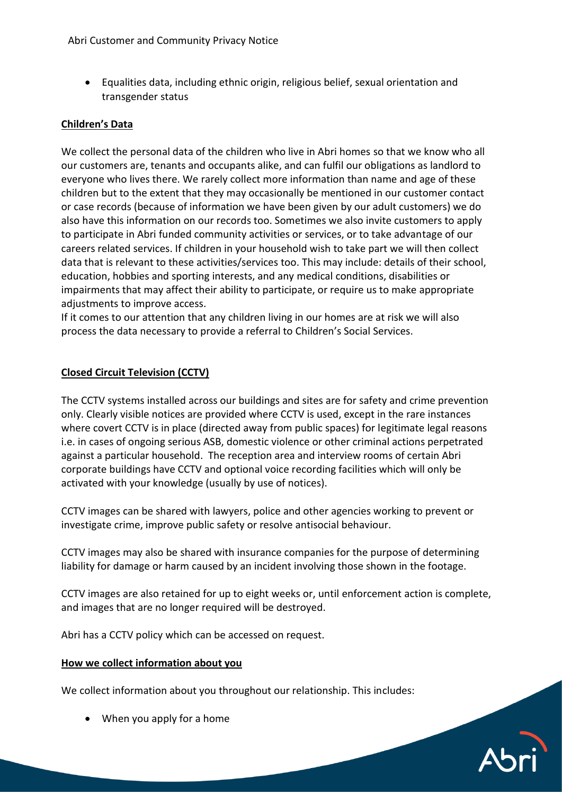• Equalities data, including ethnic origin, religious belief, sexual orientation and transgender status

#### **Children's Data**

We collect the personal data of the children who live in Abri homes so that we know who all our customers are, tenants and occupants alike, and can fulfil our obligations as landlord to everyone who lives there. We rarely collect more information than name and age of these children but to the extent that they may occasionally be mentioned in our customer contact or case records (because of information we have been given by our adult customers) we do also have this information on our records too. Sometimes we also invite customers to apply to participate in Abri funded community activities or services, or to take advantage of our careers related services. If children in your household wish to take part we will then collect data that is relevant to these activities/services too. This may include: details of their school, education, hobbies and sporting interests, and any medical conditions, disabilities or impairments that may affect their ability to participate, or require us to make appropriate adjustments to improve access.

If it comes to our attention that any children living in our homes are at risk we will also process the data necessary to provide a referral to Children's Social Services.

#### **Closed Circuit Television (CCTV)**

The CCTV systems installed across our buildings and sites are for safety and crime prevention only. Clearly visible notices are provided where CCTV is used, except in the rare instances where covert CCTV is in place (directed away from public spaces) for legitimate legal reasons i.e. in cases of ongoing serious ASB, domestic violence or other criminal actions perpetrated against a particular household. The reception area and interview rooms of certain Abri corporate buildings have CCTV and optional voice recording facilities which will only be activated with your knowledge (usually by use of notices).

CCTV images can be shared with lawyers, police and other agencies working to prevent or investigate crime, improve public safety or resolve antisocial behaviour.

CCTV images may also be shared with insurance companies for the purpose of determining liability for damage or harm caused by an incident involving those shown in the footage.

CCTV images are also retained for up to eight weeks or, until enforcement action is complete, and images that are no longer required will be destroyed.

Abri has a CCTV policy which can be accessed on request.

#### **How we collect information about you**

We collect information about you throughout our relationship. This includes:

• When you apply for a home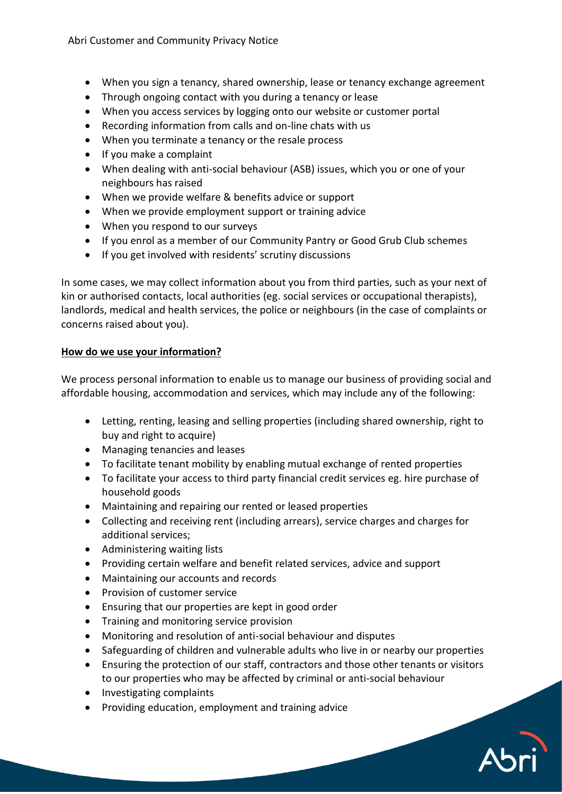- When you sign a tenancy, shared ownership, lease or tenancy exchange agreement
- Through ongoing contact with you during a tenancy or lease
- When you access services by logging onto our website or customer portal
- Recording information from calls and on-line chats with us
- When you terminate a tenancy or the resale process
- If you make a complaint
- When dealing with anti-social behaviour (ASB) issues, which you or one of your neighbours has raised
- When we provide welfare & benefits advice or support
- When we provide employment support or training advice
- When you respond to our surveys
- If you enrol as a member of our Community Pantry or Good Grub Club schemes
- If you get involved with residents' scrutiny discussions

In some cases, we may collect information about you from third parties, such as your next of kin or authorised contacts, local authorities (eg. social services or occupational therapists), landlords, medical and health services, the police or neighbours (in the case of complaints or concerns raised about you).

## **How do we use your information?**

We process personal information to enable us to manage our business of providing social and affordable housing, accommodation and services, which may include any of the following:

- Letting, renting, leasing and selling properties (including shared ownership, right to buy and right to acquire)
- Managing tenancies and leases
- To facilitate tenant mobility by enabling mutual exchange of rented properties
- To facilitate your access to third party financial credit services eg. hire purchase of household goods
- Maintaining and repairing our rented or leased properties
- Collecting and receiving rent (including arrears), service charges and charges for additional services;
- Administering waiting lists
- Providing certain welfare and benefit related services, advice and support
- Maintaining our accounts and records
- Provision of customer service
- Ensuring that our properties are kept in good order
- Training and monitoring service provision
- Monitoring and resolution of anti-social behaviour and disputes
- Safeguarding of children and vulnerable adults who live in or nearby our properties
- Ensuring the protection of our staff, contractors and those other tenants or visitors to our properties who may be affected by criminal or anti-social behaviour
- Investigating complaints
- Providing education, employment and training advice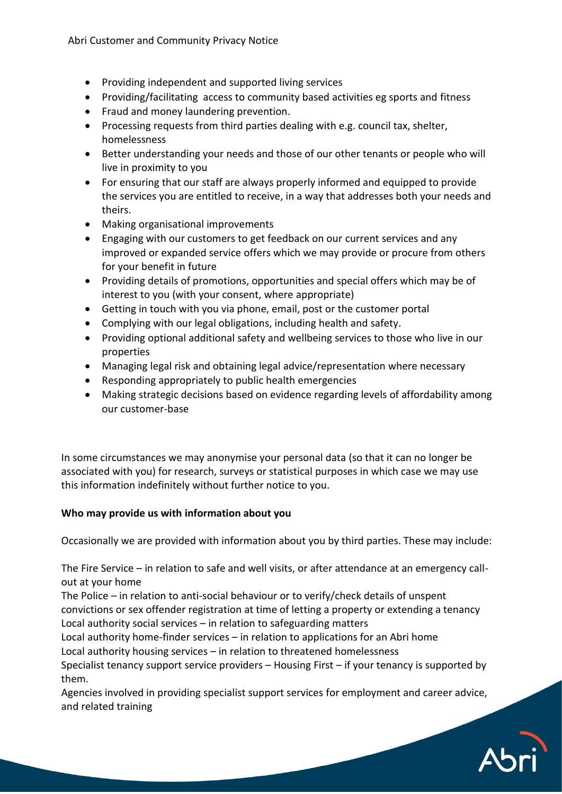- Providing independent and supported living services
- Providing/facilitating access to community based activities eg sports and fitness
- Fraud and money laundering prevention.
- Processing requests from third parties dealing with e.g. council tax, shelter, homelessness
- Better understanding your needs and those of our other tenants or people who will live in proximity to you
- For ensuring that our staff are always properly informed and equipped to provide the services you are entitled to receive, in a way that addresses both your needs and theirs.
- Making organisational improvements
- Engaging with our customers to get feedback on our current services and any improved or expanded service offers which we may provide or procure from others for your benefit in future
- Providing details of promotions, opportunities and special offers which may be of interest to you (with your consent, where appropriate)
- Getting in touch with you via phone, email, post or the customer portal
- Complying with our legal obligations, including health and safety.
- Providing optional additional safety and wellbeing services to those who live in our properties
- Managing legal risk and obtaining legal advice/representation where necessary
- Responding appropriately to public health emergencies
- Making strategic decisions based on evidence regarding levels of affordability among our customer-base

In some circumstances we may anonymise your personal data (so that it can no longer be associated with you) for research, surveys or statistical purposes in which case we may use this information indefinitely without further notice to you.

## **Who may provide us with information about you**

Occasionally we are provided with information about you by third parties. These may include:

The Fire Service – in relation to safe and well visits, or after attendance at an emergency callout at your home

The Police – in relation to anti-social behaviour or to verify/check details of unspent convictions or sex offender registration at time of letting a property or extending a tenancy Local authority social services – in relation to safeguarding matters

Local authority home-finder services – in relation to applications for an Abri home Local authority housing services – in relation to threatened homelessness

Specialist tenancy support service providers – Housing First – if your tenancy is supported by them.

Agencies involved in providing specialist support services for employment and career advice, and related training

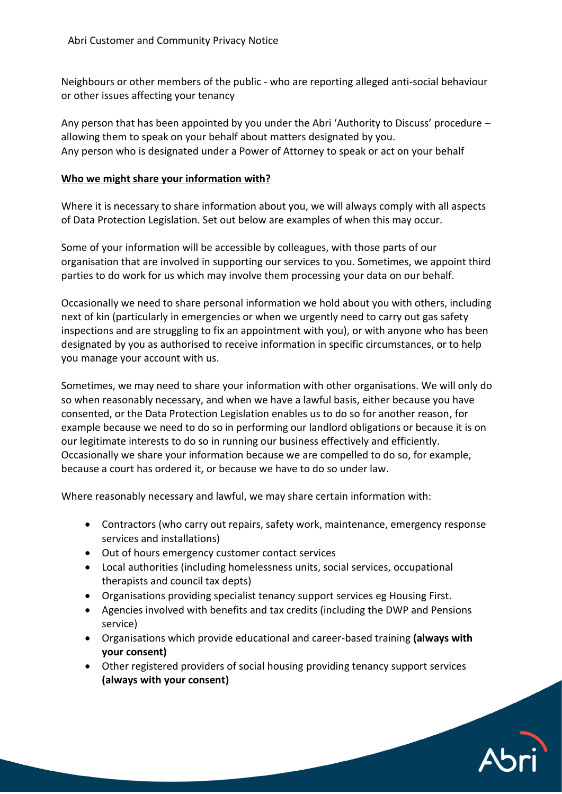Neighbours or other members of the public - who are reporting alleged anti-social behaviour or other issues affecting your tenancy

Any person that has been appointed by you under the Abri 'Authority to Discuss' procedure – allowing them to speak on your behalf about matters designated by you. Any person who is designated under a Power of Attorney to speak or act on your behalf

#### **Who we might share your information with?**

Where it is necessary to share information about you, we will always comply with all aspects of Data Protection Legislation. Set out below are examples of when this may occur.

Some of your information will be accessible by colleagues, with those parts of our organisation that are involved in supporting our services to you. Sometimes, we appoint third parties to do work for us which may involve them processing your data on our behalf.

Occasionally we need to share personal information we hold about you with others, including next of kin (particularly in emergencies or when we urgently need to carry out gas safety inspections and are struggling to fix an appointment with you), or with anyone who has been designated by you as authorised to receive information in specific circumstances, or to help you manage your account with us.

Sometimes, we may need to share your information with other organisations. We will only do so when reasonably necessary, and when we have a lawful basis, either because you have consented, or the Data Protection Legislation enables us to do so for another reason, for example because we need to do so in performing our landlord obligations or because it is on our legitimate interests to do so in running our business effectively and efficiently. Occasionally we share your information because we are compelled to do so, for example, because a court has ordered it, or because we have to do so under law.

Where reasonably necessary and lawful, we may share certain information with:

- Contractors (who carry out repairs, safety work, maintenance, emergency response services and installations)
- Out of hours emergency customer contact services
- Local authorities (including homelessness units, social services, occupational therapists and council tax depts)
- Organisations providing specialist tenancy support services eg Housing First.
- Agencies involved with benefits and tax credits (including the DWP and Pensions service)
- Organisations which provide educational and career-based training **(always with your consent)**
- Other registered providers of social housing providing tenancy support services **(always with your consent)**

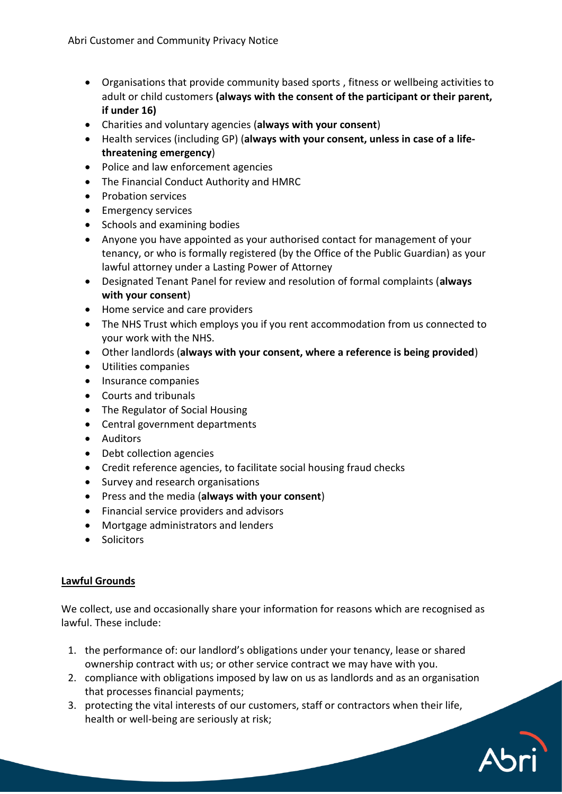- Organisations that provide community based sports , fitness or wellbeing activities to adult or child customers **(always with the consent of the participant or their parent, if under 16)**
- Charities and voluntary agencies (**always with your consent**)
- Health services (including GP) (**always with your consent, unless in case of a lifethreatening emergency**)
- Police and law enforcement agencies
- The Financial Conduct Authority and HMRC
- Probation services
- Emergency services
- Schools and examining bodies
- Anyone you have appointed as your authorised contact for management of your tenancy, or who is formally registered (by the Office of the Public Guardian) as your lawful attorney under a Lasting Power of Attorney
- Designated Tenant Panel for review and resolution of formal complaints (**always with your consent**)
- Home service and care providers
- The NHS Trust which employs you if you rent accommodation from us connected to your work with the NHS.
- Other landlords (**always with your consent, where a reference is being provided**)
- Utilities companies
- Insurance companies
- Courts and tribunals
- The Regulator of Social Housing
- Central government departments
- Auditors
- Debt collection agencies
- Credit reference agencies, to facilitate social housing fraud checks
- Survey and research organisations
- Press and the media (**always with your consent**)
- Financial service providers and advisors
- Mortgage administrators and lenders
- Solicitors

# **Lawful Grounds**

We collect, use and occasionally share your information for reasons which are recognised as lawful. These include:

- 1. the performance of: our landlord's obligations under your tenancy, lease or shared ownership contract with us; or other service contract we may have with you.
- 2. compliance with obligations imposed by law on us as landlords and as an organisation that processes financial payments;
- 3. protecting the vital interests of our customers, staff or contractors when their life, health or well-being are seriously at risk;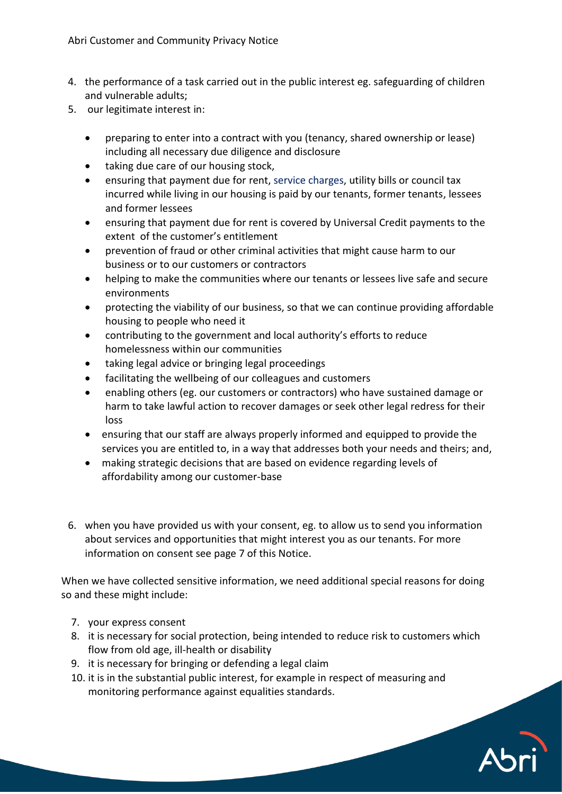- 4. the performance of a task carried out in the public interest eg. safeguarding of children and vulnerable adults;
- 5. our legitimate interest in:
	- preparing to enter into a contract with you (tenancy, shared ownership or lease) including all necessary due diligence and disclosure
	- taking due care of our housing stock,
	- ensuring that payment due for rent, service charges, utility bills or council tax incurred while living in our housing is paid by our tenants, former tenants, lessees and former lessees
	- ensuring that payment due for rent is covered by Universal Credit payments to the extent of the customer's entitlement
	- prevention of fraud or other criminal activities that might cause harm to our business or to our customers or contractors
	- helping to make the communities where our tenants or lessees live safe and secure environments
	- protecting the viability of our business, so that we can continue providing affordable housing to people who need it
	- contributing to the government and local authority's efforts to reduce homelessness within our communities
	- taking legal advice or bringing legal proceedings
	- facilitating the wellbeing of our colleagues and customers
	- enabling others (eg. our customers or contractors) who have sustained damage or harm to take lawful action to recover damages or seek other legal redress for their loss
	- ensuring that our staff are always properly informed and equipped to provide the services you are entitled to, in a way that addresses both your needs and theirs; and,
	- making strategic decisions that are based on evidence regarding levels of affordability among our customer-base
- 6. when you have provided us with your consent, eg. to allow us to send you information about services and opportunities that might interest you as our tenants. For more information on consent see page 7 of this Notice.

When we have collected sensitive information, we need additional special reasons for doing so and these might include:

- 7. your express consent
- 8. it is necessary for social protection, being intended to reduce risk to customers which flow from old age, ill-health or disability
- 9. it is necessary for bringing or defending a legal claim
- 10. it is in the substantial public interest, for example in respect of measuring and monitoring performance against equalities standards.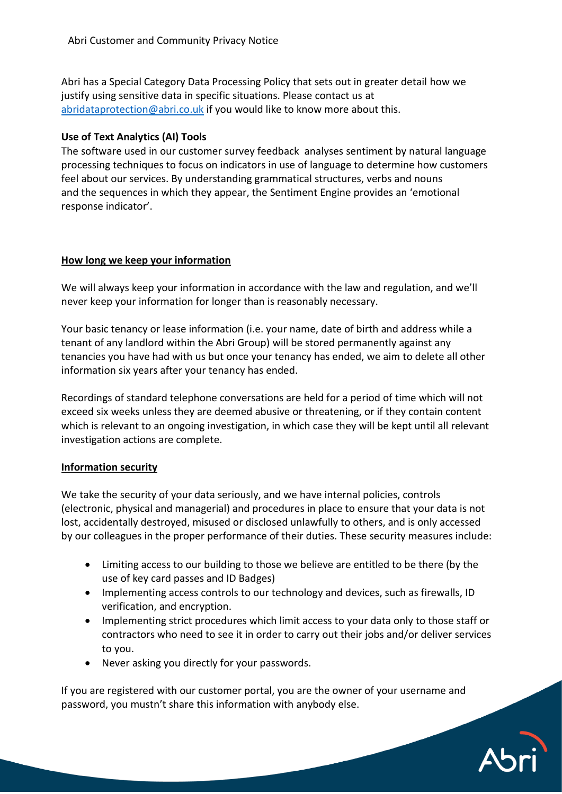Abri has a Special Category Data Processing Policy that sets out in greater detail how we justify using sensitive data in specific situations. Please contact us at [abridataprotection@abri.co.uk](mailto:abridataprotecion@abri.co.uk) if you would like to know more about this.

# **Use of Text Analytics (AI) Tools**

The software used in our customer survey feedback analyses sentiment by natural language processing techniques to focus on indicators in use of language to determine how customers feel about our services. By understanding grammatical structures, verbs and nouns and the sequences in which they appear, the Sentiment Engine provides an 'emotional response indicator'.

## **How long we keep your information**

We will always keep your information in accordance with the law and regulation, and we'll never keep your information for longer than is reasonably necessary.

Your basic tenancy or lease information (i.e. your name, date of birth and address while a tenant of any landlord within the Abri Group) will be stored permanently against any tenancies you have had with us but once your tenancy has ended, we aim to delete all other information six years after your tenancy has ended.

Recordings of standard telephone conversations are held for a period of time which will not exceed six weeks unless they are deemed abusive or threatening, or if they contain content which is relevant to an ongoing investigation, in which case they will be kept until all relevant investigation actions are complete.

## **Information security**

We take the security of your data seriously, and we have internal policies, controls (electronic, physical and managerial) and procedures in place to ensure that your data is not lost, accidentally destroyed, misused or disclosed unlawfully to others, and is only accessed by our colleagues in the proper performance of their duties. These security measures include:

- Limiting access to our building to those we believe are entitled to be there (by the use of key card passes and ID Badges)
- Implementing access controls to our technology and devices, such as firewalls, ID verification, and encryption.
- Implementing strict procedures which limit access to your data only to those staff or contractors who need to see it in order to carry out their jobs and/or deliver services to you.
- Never asking you directly for your passwords.

If you are registered with our customer portal, you are the owner of your username and password, you mustn't share this information with anybody else.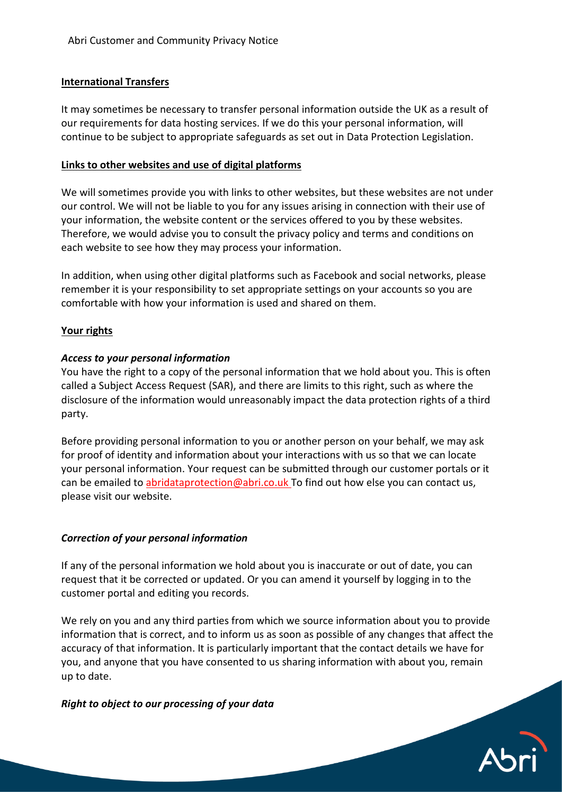# **International Transfers**

It may sometimes be necessary to transfer personal information outside the UK as a result of our requirements for data hosting services. If we do this your personal information, will continue to be subject to appropriate safeguards as set out in Data Protection Legislation.

#### **Links to other websites and use of digital platforms**

We will sometimes provide you with links to other websites, but these websites are not under our control. We will not be liable to you for any issues arising in connection with their use of your information, the website content or the services offered to you by these websites. Therefore, we would advise you to consult the privacy policy and terms and conditions on each website to see how they may process your information.

In addition, when using other digital platforms such as Facebook and social networks, please remember it is your responsibility to set appropriate settings on your accounts so you are comfortable with how your information is used and shared on them.

#### **Your rights**

#### *Access to your personal information*

You have the right to a copy of the personal information that we hold about you. This is often called a Subject Access Request (SAR), and there are limits to this right, such as where the disclosure of the information would unreasonably impact the data protection rights of a third party.

Before providing personal information to you or another person on your behalf, we may ask for proof of identity and information about your interactions with us so that we can locate your personal information. Your request can be submitted through our customer portals or it can be emailed to abridataprotection@abri.co.uk To find out how else you can contact us, please visit our website.

## *Correction of your personal information*

If any of the personal information we hold about you is inaccurate or out of date, you can request that it be corrected or updated. Or you can amend it yourself by logging in to the customer portal and editing you records.

We rely on you and any third parties from which we source information about you to provide information that is correct, and to inform us as soon as possible of any changes that affect the accuracy of that information. It is particularly important that the contact details we have for you, and anyone that you have consented to us sharing information with about you, remain up to date.

## *Right to object to our processing of your data*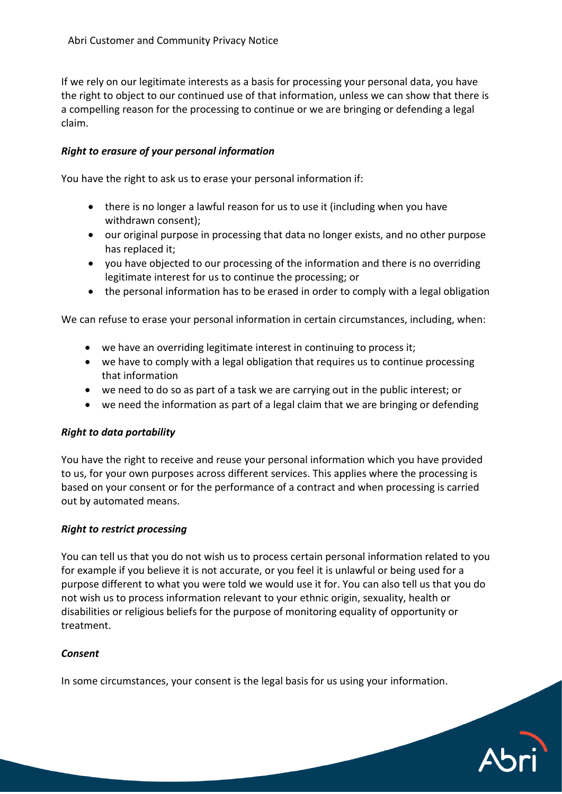If we rely on our legitimate interests as a basis for processing your personal data, you have the right to object to our continued use of that information, unless we can show that there is a compelling reason for the processing to continue or we are bringing or defending a legal claim.

## *Right to erasure of your personal information*

You have the right to ask us to erase your personal information if:

- there is no longer a lawful reason for us to use it (including when you have withdrawn consent);
- our original purpose in processing that data no longer exists, and no other purpose has replaced it;
- you have objected to our processing of the information and there is no overriding legitimate interest for us to continue the processing; or
- the personal information has to be erased in order to comply with a legal obligation

We can refuse to erase your personal information in certain circumstances, including, when:

- we have an overriding legitimate interest in continuing to process it;
- we have to comply with a legal obligation that requires us to continue processing that information
- we need to do so as part of a task we are carrying out in the public interest; or
- we need the information as part of a legal claim that we are bringing or defending

## *Right to data portability*

You have the right to receive and reuse your personal information which you have provided to us, for your own purposes across different services. This applies where the processing is based on your consent or for the performance of a contract and when processing is carried out by automated means.

## *Right to restrict processing*

You can tell us that you do not wish us to process certain personal information related to you for example if you believe it is not accurate, or you feel it is unlawful or being used for a purpose different to what you were told we would use it for. You can also tell us that you do not wish us to process information relevant to your ethnic origin, sexuality, health or disabilities or religious beliefs for the purpose of monitoring equality of opportunity or treatment.

#### *Consent*

In some circumstances, your consent is the legal basis for us using your information.

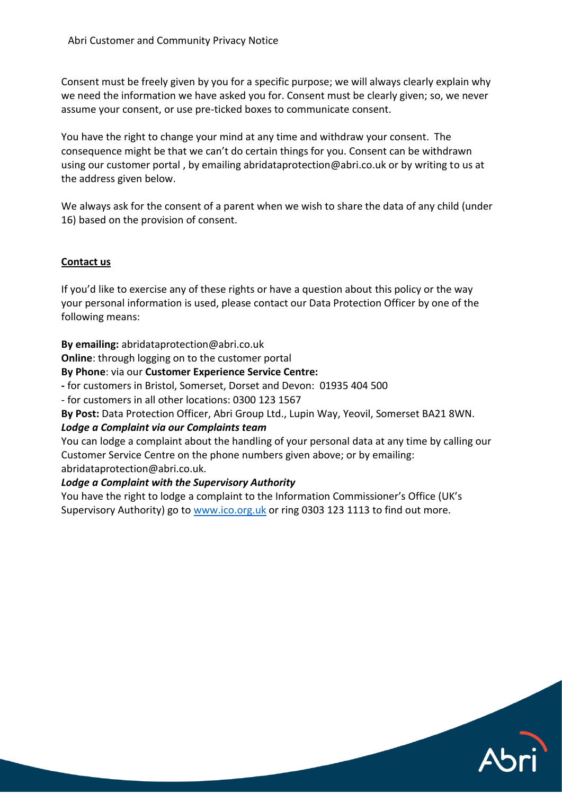Consent must be freely given by you for a specific purpose; we will always clearly explain why we need the information we have asked you for. Consent must be clearly given; so, we never assume your consent, or use pre-ticked boxes to communicate consent.

You have the right to change your mind at any time and withdraw your consent. The consequence might be that we can't do certain things for you. Consent can be withdrawn using our customer portal , by emailing abridataprotection@abri.co.uk or by writing to us at the address given below.

We always ask for the consent of a parent when we wish to share the data of any child (under 16) based on the provision of consent.

## **Contact us**

If you'd like to exercise any of these rights or have a question about this policy or the way your personal information is used, please contact our Data Protection Officer by one of the following means:

**By emailing:** abridataprotection@abri.co.uk

**Online**: through logging on to the customer portal

#### **By Phone**: via our **Customer Experience Service Centre:**

**-** for customers in Bristol, Somerset, Dorset and Devon: 01935 404 500

- for customers in all other locations: 0300 123 1567

**By Post:** Data Protection Officer, Abri Group Ltd., Lupin Way, Yeovil, Somerset BA21 8WN.

#### *Lodge a Complaint via our Complaints team*

You can lodge a complaint about the handling of your personal data at any time by calling our Customer Service Centre on the phone numbers given above; or by emailing: abridataprotection@abri.co.uk.

## *Lodge a Complaint with the Supervisory Authority*

You have the right to lodge a complaint to the Information Commissioner's Office (UK's Supervisory Authority) go to [www.ico.org.uk](http://www.ico.org.uk/) or ring 0303 123 1113 to find out more.